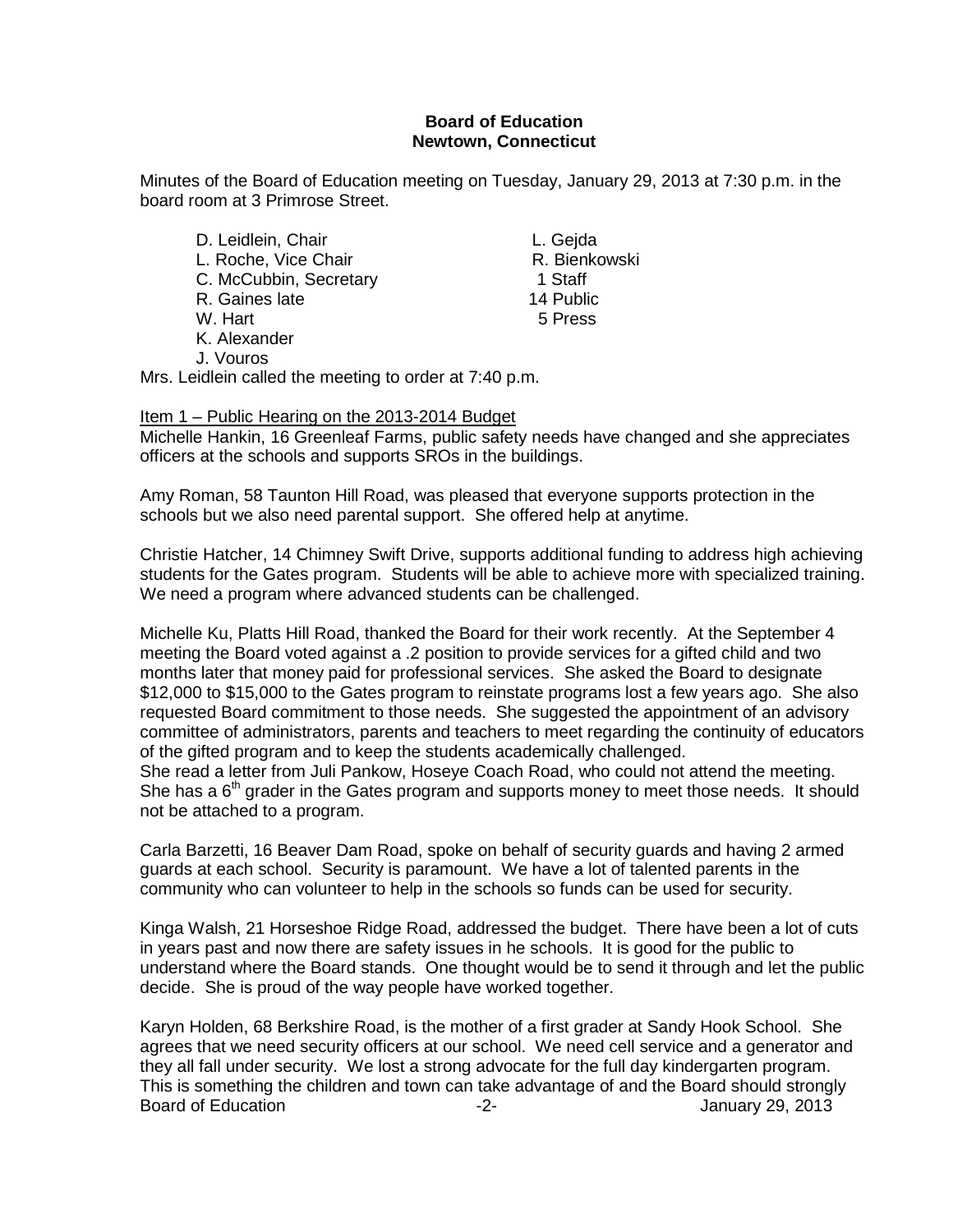#### **Board of Education Newtown, Connecticut**

Minutes of the Board of Education meeting on Tuesday, January 29, 2013 at 7:30 p.m. in the board room at 3 Primrose Street.

D. Leidlein, Chair **L. Gejda** L. Roche, Vice Chair **R. Bienkowski**<br>C. McCubbin, Secretary **R. Bienkowski** C. McCubbin, Secretary 1 Staff<br>R. Gaines late 14 Public R. Gaines late 14 Public<br>
W. Hart 15 Press W. Hart K. Alexander J. Vouros

Mrs. Leidlein called the meeting to order at 7:40 p.m.

Item 1 – Public Hearing on the 2013-2014 Budget Michelle Hankin, 16 Greenleaf Farms, public safety needs have changed and she appreciates officers at the schools and supports SROs in the buildings.

Amy Roman, 58 Taunton Hill Road, was pleased that everyone supports protection in the schools but we also need parental support. She offered help at anytime.

Christie Hatcher, 14 Chimney Swift Drive, supports additional funding to address high achieving students for the Gates program. Students will be able to achieve more with specialized training. We need a program where advanced students can be challenged.

Michelle Ku, Platts Hill Road, thanked the Board for their work recently. At the September 4 meeting the Board voted against a .2 position to provide services for a gifted child and two months later that money paid for professional services. She asked the Board to designate \$12,000 to \$15,000 to the Gates program to reinstate programs lost a few years ago. She also requested Board commitment to those needs. She suggested the appointment of an advisory committee of administrators, parents and teachers to meet regarding the continuity of educators of the gifted program and to keep the students academically challenged. She read a letter from Juli Pankow, Hoseye Coach Road, who could not attend the meeting. She has a  $6<sup>th</sup>$  grader in the Gates program and supports money to meet those needs. It should not be attached to a program.

Carla Barzetti, 16 Beaver Dam Road, spoke on behalf of security guards and having 2 armed guards at each school. Security is paramount. We have a lot of talented parents in the community who can volunteer to help in the schools so funds can be used for security.

Kinga Walsh, 21 Horseshoe Ridge Road, addressed the budget. There have been a lot of cuts in years past and now there are safety issues in he schools. It is good for the public to understand where the Board stands. One thought would be to send it through and let the public decide. She is proud of the way people have worked together.

Karyn Holden, 68 Berkshire Road, is the mother of a first grader at Sandy Hook School. She agrees that we need security officers at our school. We need cell service and a generator and they all fall under security. We lost a strong advocate for the full day kindergarten program. This is something the children and town can take advantage of and the Board should strongly Board of Education **-2-** Figure 2013 **January 29, 2013**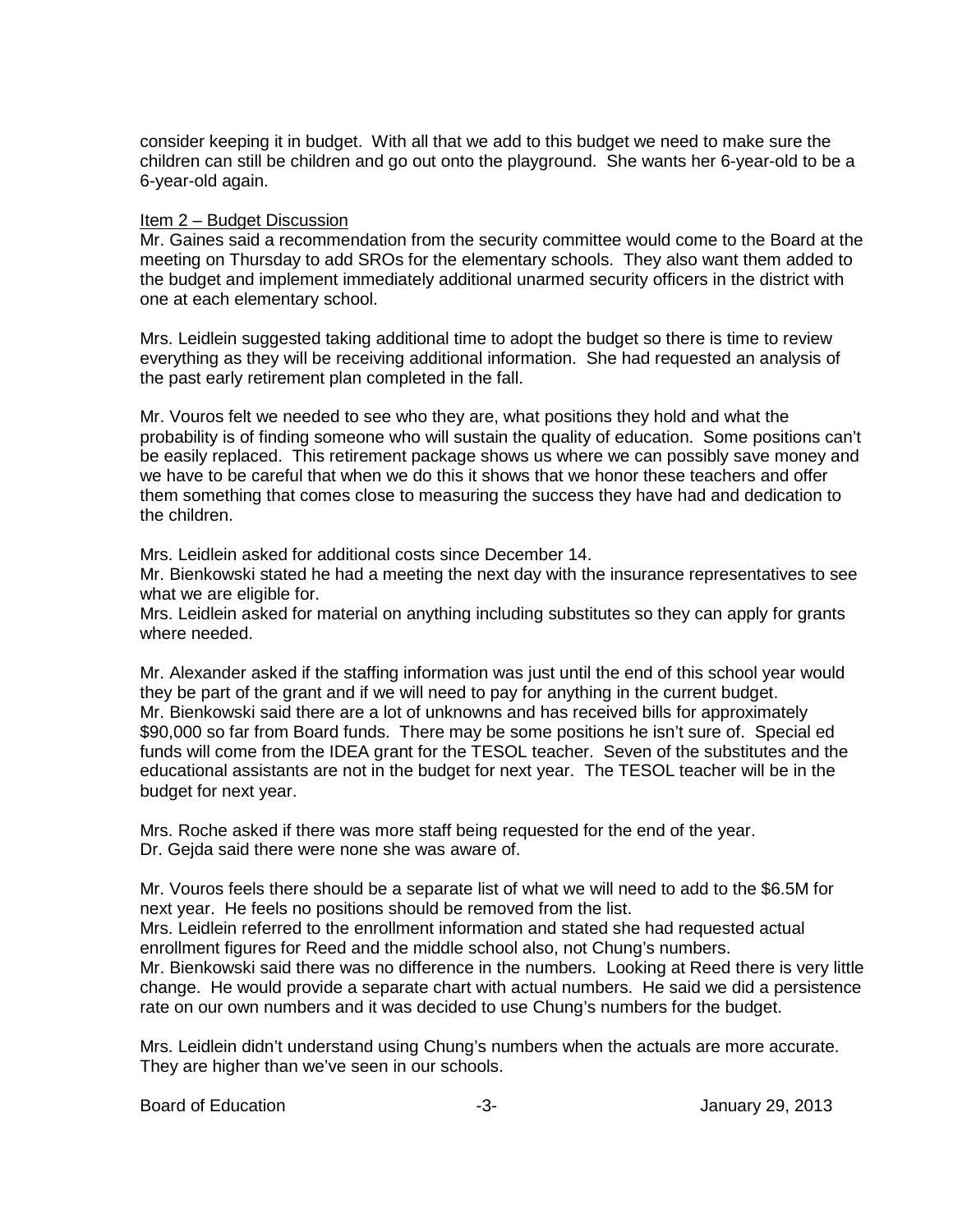consider keeping it in budget. With all that we add to this budget we need to make sure the children can still be children and go out onto the playground. She wants her 6-year-old to be a 6-year-old again.

#### Item 2 – Budget Discussion

Mr. Gaines said a recommendation from the security committee would come to the Board at the meeting on Thursday to add SROs for the elementary schools. They also want them added to the budget and implement immediately additional unarmed security officers in the district with one at each elementary school.

Mrs. Leidlein suggested taking additional time to adopt the budget so there is time to review everything as they will be receiving additional information. She had requested an analysis of the past early retirement plan completed in the fall.

Mr. Vouros felt we needed to see who they are, what positions they hold and what the probability is of finding someone who will sustain the quality of education. Some positions can't be easily replaced. This retirement package shows us where we can possibly save money and we have to be careful that when we do this it shows that we honor these teachers and offer them something that comes close to measuring the success they have had and dedication to the children.

Mrs. Leidlein asked for additional costs since December 14.

Mr. Bienkowski stated he had a meeting the next day with the insurance representatives to see what we are eligible for.

Mrs. Leidlein asked for material on anything including substitutes so they can apply for grants where needed.

Mr. Alexander asked if the staffing information was just until the end of this school year would they be part of the grant and if we will need to pay for anything in the current budget. Mr. Bienkowski said there are a lot of unknowns and has received bills for approximately \$90,000 so far from Board funds. There may be some positions he isn't sure of. Special ed funds will come from the IDEA grant for the TESOL teacher. Seven of the substitutes and the educational assistants are not in the budget for next year. The TESOL teacher will be in the budget for next year.

Mrs. Roche asked if there was more staff being requested for the end of the year. Dr. Gejda said there were none she was aware of.

Mr. Vouros feels there should be a separate list of what we will need to add to the \$6.5M for next year. He feels no positions should be removed from the list.

Mrs. Leidlein referred to the enrollment information and stated she had requested actual enrollment figures for Reed and the middle school also, not Chung's numbers.

Mr. Bienkowski said there was no difference in the numbers. Looking at Reed there is very little change. He would provide a separate chart with actual numbers. He said we did a persistence rate on our own numbers and it was decided to use Chung's numbers for the budget.

Mrs. Leidlein didn't understand using Chung's numbers when the actuals are more accurate. They are higher than we've seen in our schools.

Board of Education **-3-** Figure 29, 2013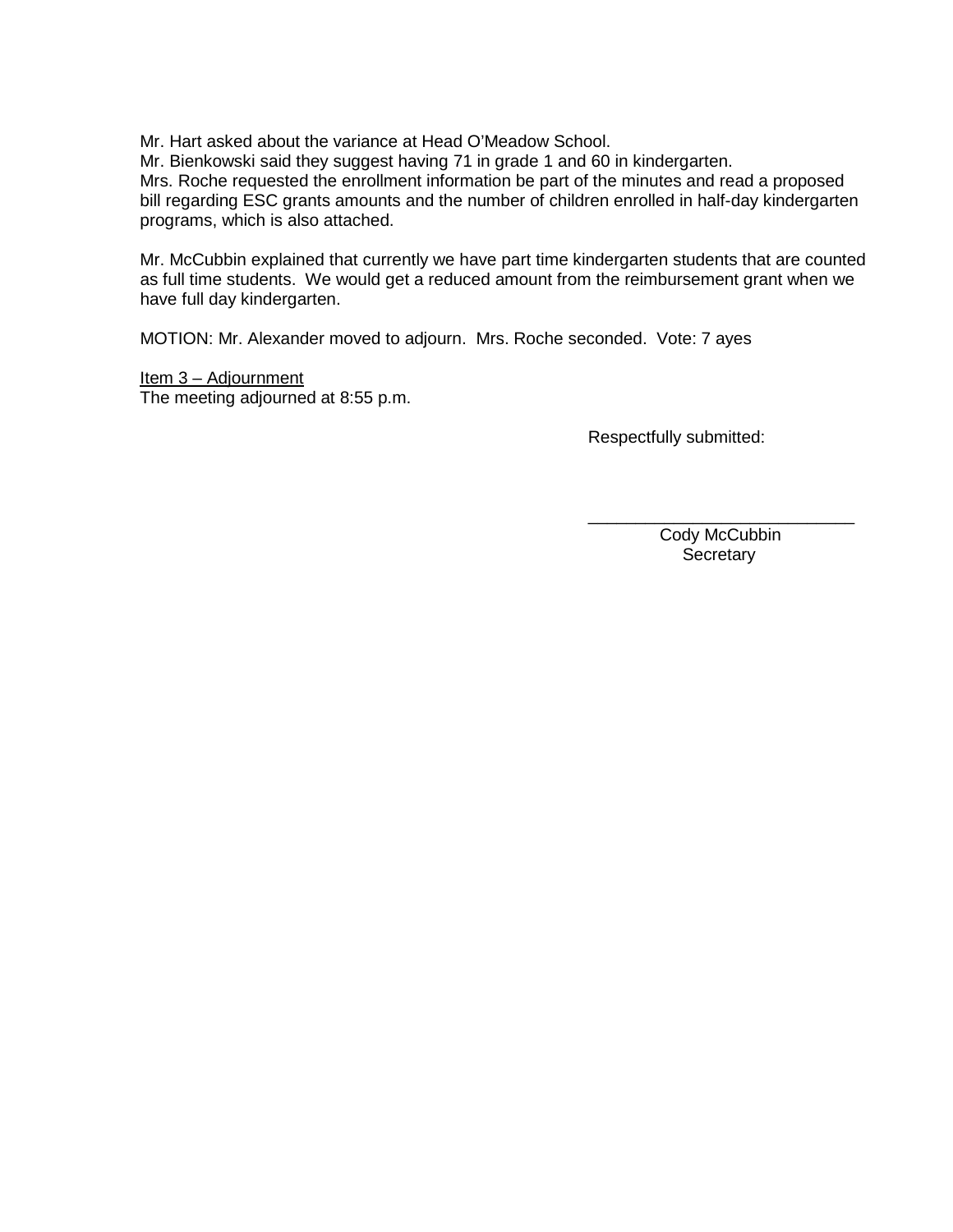Mr. Hart asked about the variance at Head O'Meadow School.

Mr. Bienkowski said they suggest having 71 in grade 1 and 60 in kindergarten.

Mrs. Roche requested the enrollment information be part of the minutes and read a proposed bill regarding ESC grants amounts and the number of children enrolled in half-day kindergarten programs, which is also attached.

Mr. McCubbin explained that currently we have part time kindergarten students that are counted as full time students. We would get a reduced amount from the reimbursement grant when we have full day kindergarten.

MOTION: Mr. Alexander moved to adjourn. Mrs. Roche seconded. Vote: 7 ayes

Item 3 – Adjournment The meeting adjourned at 8:55 p.m.

Respectfully submitted:

\_\_\_\_\_\_\_\_\_\_\_\_\_\_\_\_\_\_\_\_\_\_\_\_\_\_\_\_ Cody McCubbin **Secretary**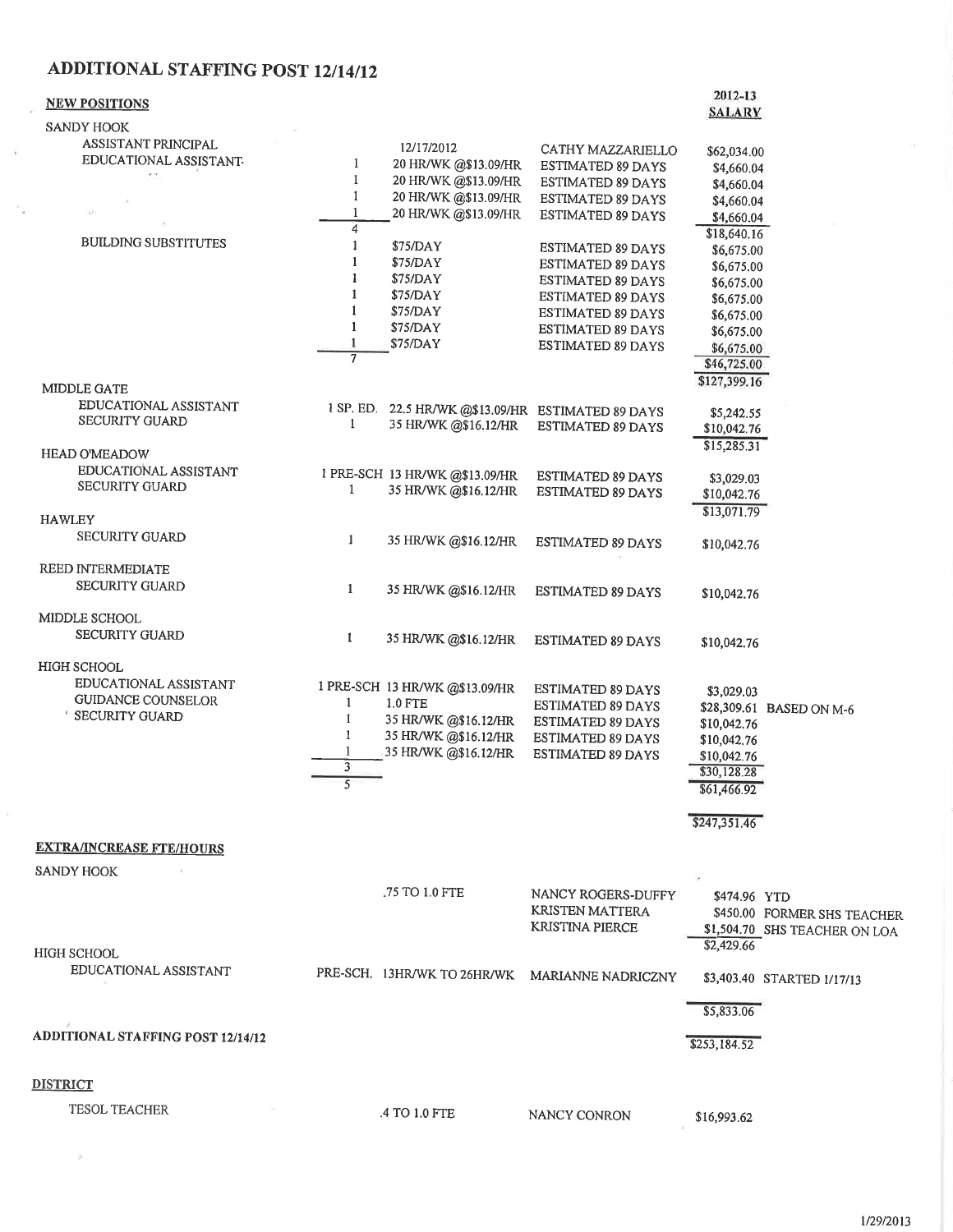# ADDITIONAL STAFFING POST 12/14/12

 $\sim$ 

 $\left\langle \hat{g} \right\rangle$ 

20

 $\bar{y}$ 

| <b>NEW POSITIONS</b>                                                                       |                                                         |                                                                                                                   |                                                                                                                                                        | 2012-13                                                                                                                                      |                                                              |
|--------------------------------------------------------------------------------------------|---------------------------------------------------------|-------------------------------------------------------------------------------------------------------------------|--------------------------------------------------------------------------------------------------------------------------------------------------------|----------------------------------------------------------------------------------------------------------------------------------------------|--------------------------------------------------------------|
| SANDY HOOK                                                                                 |                                                         |                                                                                                                   |                                                                                                                                                        | <b>SALARY</b>                                                                                                                                |                                                              |
| ASSISTANT PRINCIPAL<br>EDUCATIONAL ASSISTANT-                                              | $\mathbf{1}$<br>$\mathbf{1}$<br>$\mathbf{1}$<br>1       | 12/17/2012<br>20 HR/WK @\$13.09/HR<br>20 HR/WK @\$13.09/HR<br>20 HR/WK @\$13.09/HR<br>20 HR/WK @\$13.09/HR        | CATHY MAZZARIELLO<br>ESTIMATED 89 DAYS<br><b>ESTIMATED 89 DAYS</b><br><b>ESTIMATED 89 DAYS</b><br>ESTIMATED 89 DAYS                                    | \$62,034.00<br>\$4,660.04<br>\$4,660.04<br>\$4,660.04<br>\$4,660.04                                                                          |                                                              |
| <b>BUILDING SUBSTITUTES</b><br><b>MIDDLE GATE</b>                                          | 4<br>1<br>1<br>1<br>1<br>$\mathbf{1}$<br>$\overline{7}$ | \$75/DAY<br>\$75/DAY<br>\$75/DAY<br>\$75/DAY<br>\$75/DAY<br>\$75/DAY<br>\$75/DAY                                  | <b>ESTIMATED 89 DAYS</b><br>ESTIMATED 89 DAYS<br>ESTIMATED 89 DAYS<br>ESTIMATED 89 DAYS<br>ESTIMATED 89 DAYS<br>ESTIMATED 89 DAYS<br>ESTIMATED 89 DAYS | \$18,640.16<br>\$6,675.00<br>\$6,675.00<br>\$6,675.00<br>\$6,675.00<br>\$6,675.00<br>\$6,675.00<br>\$6,675.00<br>\$46,725.00<br>\$127,399.16 |                                                              |
| EDUCATIONAL ASSISTANT<br><b>SECURITY GUARD</b>                                             | $\mathbf{1}$                                            | 1 SP. ED. 22.5 HR/WK @\$13.09/HR ESTIMATED 89 DAYS<br>35 HR/WK @\$16.12/HR                                        | ESTIMATED 89 DAYS                                                                                                                                      | \$5,242.55<br>\$10,042.76<br>\$15,285.31                                                                                                     |                                                              |
| <b>HEAD O'MEADOW</b><br>EDUCATIONAL ASSISTANT<br>SECURITY GUARD                            | 1                                                       | 1 PRE-SCH 13 HR/WK @\$13.09/HR<br>35 HR/WK @\$16.12/HR                                                            | ESTIMATED 89 DAYS<br>ESTIMATED 89 DAYS                                                                                                                 | \$3,029.03<br>\$10,042.76<br>\$13,071.79                                                                                                     |                                                              |
| <b>HAWLEY</b><br><b>SECURITY GUARD</b>                                                     | $\mathbf{1}$                                            | 35 HR/WK @\$16.12/HR                                                                                              | ESTIMATED 89 DAYS                                                                                                                                      | \$10,042.76                                                                                                                                  |                                                              |
| REED INTERMEDIATE<br><b>SECURITY GUARD</b>                                                 | $\mathbf{1}$                                            | 35 HR/WK @\$16.12/HR                                                                                              | <b>ESTIMATED 89 DAYS</b>                                                                                                                               | \$10,042.76                                                                                                                                  |                                                              |
| MIDDLE SCHOOL<br><b>SECURITY GUARD</b>                                                     | $\mathbf{I}$                                            | 35 HR/WK @\$16.12/HR                                                                                              | <b>ESTIMATED 89 DAYS</b>                                                                                                                               | \$10,042.76                                                                                                                                  |                                                              |
| <b>HIGH SCHOOL</b><br>EDUCATIONAL ASSISTANT<br><b>GUIDANCE COUNSELOR</b><br>SECURITY GUARD | $\mathbf{1}$<br>$\bf{I}$<br>1<br>$\overline{3}$<br>5    | 1 PRE-SCH 13 HR/WK @\$13.09/HR<br>1.0 FTE<br>35 HR/WK @\$16.12/HR<br>35 HR/WK @\$16.12/HR<br>35 HR/WK @\$16.12/HR | <b>ESTIMATED 89 DAYS</b><br>ESTIMATED 89 DAYS<br>ESTIMATED 89 DAYS<br>ESTIMATED 89 DAYS<br><b>ESTIMATED 89 DAYS</b>                                    | \$3,029.03<br>\$10,042.76<br>\$10,042.76<br>\$10,042.76<br>\$30,128.28<br>\$61,466.92<br>\$247,351.46                                        | \$28,309.61 BASED ON M-6                                     |
| <b>EXTRA/INCREASE FTE/HOURS</b>                                                            |                                                         |                                                                                                                   |                                                                                                                                                        |                                                                                                                                              |                                                              |
| <b>SANDY HOOK</b>                                                                          |                                                         |                                                                                                                   |                                                                                                                                                        |                                                                                                                                              |                                                              |
|                                                                                            |                                                         | .75 TO 1.0 FTE                                                                                                    | NANCY ROGERS-DUFFY<br><b>KRISTEN MATTERA</b><br><b>KRISTINA PIERCE</b>                                                                                 | \$474.96 YTD<br>\$2,429.66                                                                                                                   | \$450.00 FORMER SHS TEACHER<br>\$1,504.70 SHS TEACHER ON LOA |
| <b>HIGH SCHOOL</b><br>EDUCATIONAL ASSISTANT                                                |                                                         |                                                                                                                   | PRE-SCH. 13HR/WK TO 26HR/WK MARIANNE NADRICZNY                                                                                                         |                                                                                                                                              | \$3,403.40 STARTED 1/17/13                                   |
|                                                                                            |                                                         |                                                                                                                   |                                                                                                                                                        | \$5,833.06                                                                                                                                   |                                                              |
| <b>ADDITIONAL STAFFING POST 12/14/12</b>                                                   |                                                         |                                                                                                                   |                                                                                                                                                        | \$253,184.52                                                                                                                                 |                                                              |
| <b>DISTRICT</b>                                                                            |                                                         |                                                                                                                   |                                                                                                                                                        |                                                                                                                                              |                                                              |
| <b>TESOL TEACHER</b>                                                                       |                                                         | .4 TO 1.0 FTE                                                                                                     | NANCY CONRON                                                                                                                                           | \$16,993.62                                                                                                                                  |                                                              |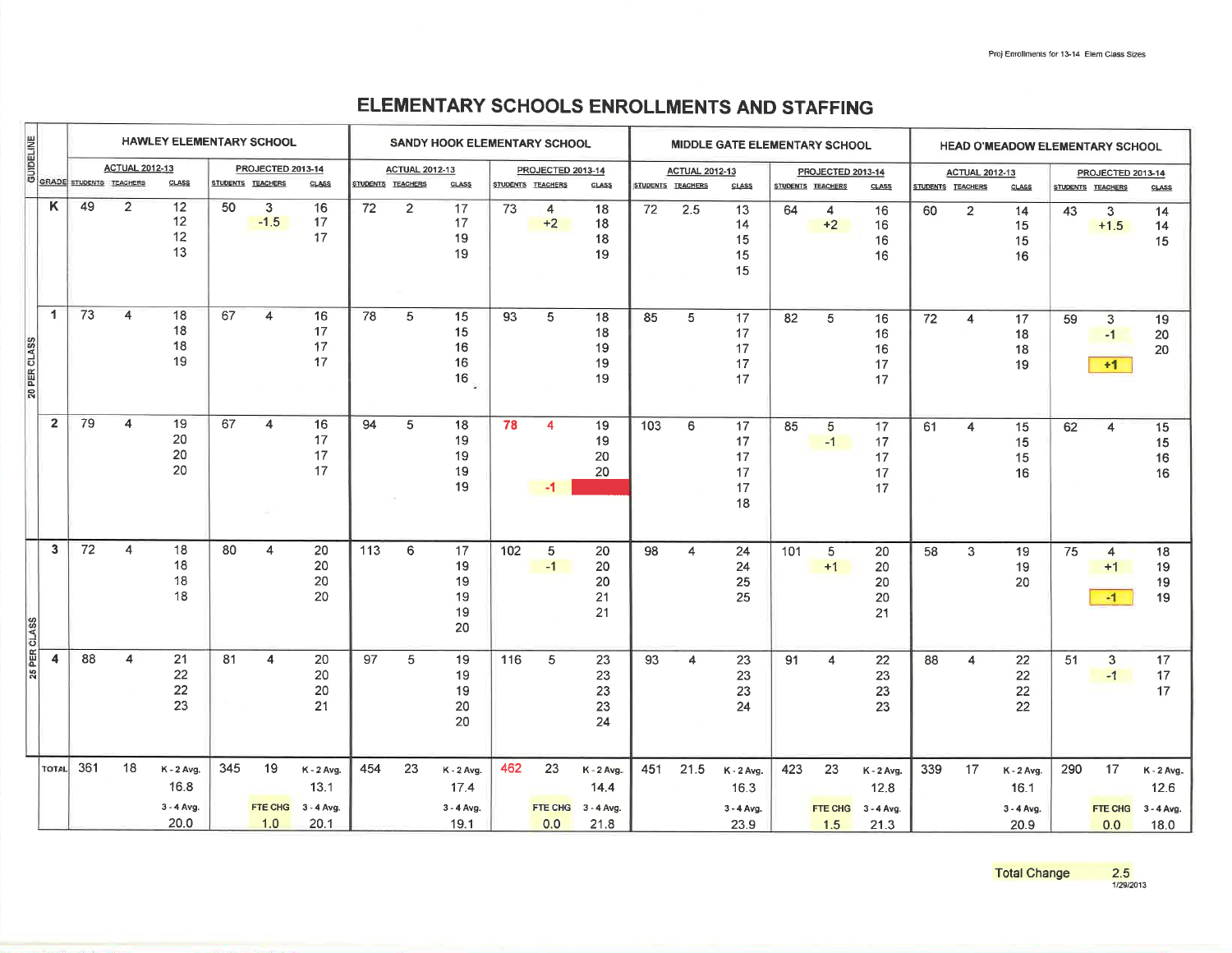## ELEMENTARY SCHOOLS ENROLLMENTS AND STAFFING

|              | HAWLEY ELEMENTARY SCHOOL |                                |                       |                                          |                   |                             |                                              | SANDY HOOK ELEMENTARY SCHOOL<br>MIDDLE GATE ELEMENTARY SCHOOL |                       |                                            |       | <b>HEAD O'MEADOW ELEMENTARY SCHOOL</b> |                                            |                   |                       |                                          |     |                          |                                            |                   |                         |                                            |                   |                                         |                                          |
|--------------|--------------------------|--------------------------------|-----------------------|------------------------------------------|-------------------|-----------------------------|----------------------------------------------|---------------------------------------------------------------|-----------------------|--------------------------------------------|-------|----------------------------------------|--------------------------------------------|-------------------|-----------------------|------------------------------------------|-----|--------------------------|--------------------------------------------|-------------------|-------------------------|--------------------------------------------|-------------------|-----------------------------------------|------------------------------------------|
| GUIDELINE    |                          |                                | <b>ACTUAL 2012-13</b> |                                          |                   | PROJECTED 2013-14           |                                              |                                                               | <b>ACTUAL 2012-13</b> |                                            |       | PROJECTED 2013-14                      |                                            |                   | <b>ACTUAL 2012-13</b> |                                          |     | PROJECTED 2013-14        |                                            |                   | <b>ACTUAL 2012-13</b>   |                                            |                   | PROJECTED 2013-14                       |                                          |
|              |                          | <b>GRADE</b> STUDENTS TEACHERS |                       | CLASS                                    | STUDENTS TEACHERS |                             | <b>CLASS</b>                                 | STUDENTS TEACHERS                                             |                       | <b>CLASS</b>                               |       | STUDENTS TEACHERS                      | <b>CLASS</b>                               | STUDENTS TEACHERS |                       | CLASS                                    |     | <b>STUDENTS TEACHERS</b> | CLASS                                      | STUDENTS TEACHERS |                         | <b>CLASS</b>                               | STUDENTS TEACHERS |                                         | CLASS                                    |
|              | Κ                        | 49                             | $\overline{2}$        | 12<br>12<br>12<br>13                     | 50                | $\overline{3}$<br>$-1.5$    | 16<br>17<br>17                               | 72                                                            | $\overline{2}$        | 17<br>17<br>19<br>19                       | 73    | $\overline{4}$<br>$+2$                 | 18<br>18<br>18<br>19                       | 72                | 2.5                   | 13<br>14<br>15<br>15<br>15               | 64  | $\overline{4}$<br>$+2$   | 16<br>16<br>16<br>16                       | 60                | $\overline{2}$          | 14<br>15<br>15<br>16                       | 43                | 3<br>$+1.5$                             | 14<br>14<br>15                           |
| 20 PER CLASS | $\mathbf{1}$             | 73                             | $\overline{4}$        | 18<br>18<br>18<br>19                     | 67                | $\overline{4}$              | 16<br>17<br>17<br>17                         | 78                                                            | $\,$ 5 $\,$           | 15<br>15<br>16<br>16<br>$16\,$             | 93    | $\sqrt{5}$                             | 18<br>18<br>19<br>19<br>19                 | 85                | $\sqrt{5}$            | 17<br>17<br>17<br>17<br>17               | 82  | 5                        | 16<br>16<br>16<br>17<br>17                 | $72\,$            | $\overline{\mathbf{4}}$ | 17<br>18<br>18<br>19                       | 59                | $\overline{\mathbf{3}}$<br>$-1$<br>$+1$ | 19<br>20<br>20                           |
|              | $\overline{2}$           | 79                             | $\overline{4}$        | 19<br>20<br>20<br>20                     | 67                | $\overline{4}$              | 16<br>17<br>17<br>17                         | 94                                                            | 5                     | 18<br>19<br>19<br>19<br>19                 | 78    | 4<br>-1                                | 19<br>19<br>20<br>20                       | 103               | 6                     | 17<br>17<br>17<br>17<br>17<br>18         | 85  | 5<br>$-1$                | 17<br>17<br>17<br>17<br>17                 | 61                | $\overline{4}$          | 15<br>15<br>15<br>16                       | 62                | 4                                       | 15<br>15<br>16<br>16                     |
| 25 PER CLASS | $\overline{3}$           | 72                             | $\overline{4}$        | 18<br>18<br>18<br>18                     | 80                | $\overline{4}$              | 20<br>20<br>20<br>20                         | $\overline{113}$                                              | 6                     | 17<br>19<br>19<br>19<br>19<br>20           | $102$ | $\overline{5}$<br>$-1$                 | 20<br>20<br>20<br>21<br>21                 | 98                | $\overline{4}$        | 24<br>24<br>25<br>25                     | 101 | 5<br>$+1$                | 20<br>20<br>20<br>20<br>21                 | 58                | 3                       | 19<br>19<br>20                             | $\overline{75}$   | $\overline{4}$<br>$+1$<br>$-1$          | 18<br>19<br>19<br>19                     |
|              | $\overline{4}$           | 88                             | 4                     | 21<br>22<br>22<br>23                     | 81                | 4                           | 20<br>20<br>20<br>21                         | 97                                                            | 5                     | 19<br>19<br>19<br>20<br>20                 | 116   | 5                                      | 23<br>23<br>23<br>23<br>24                 | 93                | $\overline{4}$        | 23<br>23<br>23<br>24                     | 91  | $\overline{4}$           | $22\,$<br>23<br>23<br>23                   | 88                | $\overline{4}$          | 22<br>22<br>22<br>22                       | 51                | $\mathbf{3}$<br>$-1$                    | 17<br>17<br>17                           |
|              | TOTAL                    | 361                            | 18                    | K - 2 Avg.<br>16.8<br>3 - 4 Avg.<br>20.0 | 345               | 19<br><b>FTE CHG</b><br>1.0 | $K - 2$ Avg.<br>13.1<br>$3 - 4$ Avg.<br>20.1 | 454                                                           | 23                    | K - 2 Avg.<br>17.4<br>$3 - 4$ Avg.<br>19.1 | 462   | 23<br>FTE CHG<br>0.0                   | $K - 2$ Avg.<br>14.4<br>3 - 4 Avg.<br>21.8 | 451               | 21.5                  | K - 2 Avg.<br>16.3<br>3 - 4 Avg.<br>23.9 | 423 | 23<br>FTE CHG<br>1.5     | $K - 2$ Avg.<br>12.8<br>3 - 4 Avg.<br>21.3 | 339               | 17                      | K - 2 Avg.<br>16.1<br>$3 - 4$ Avg.<br>20.9 | 290               | 17<br><b>FTE CHG</b><br>0.0             | K - 2 Avg.<br>12.6<br>3 - 4 Avg.<br>18.0 |

 $\frac{2.5}{1/29/2013}$ **Total Change**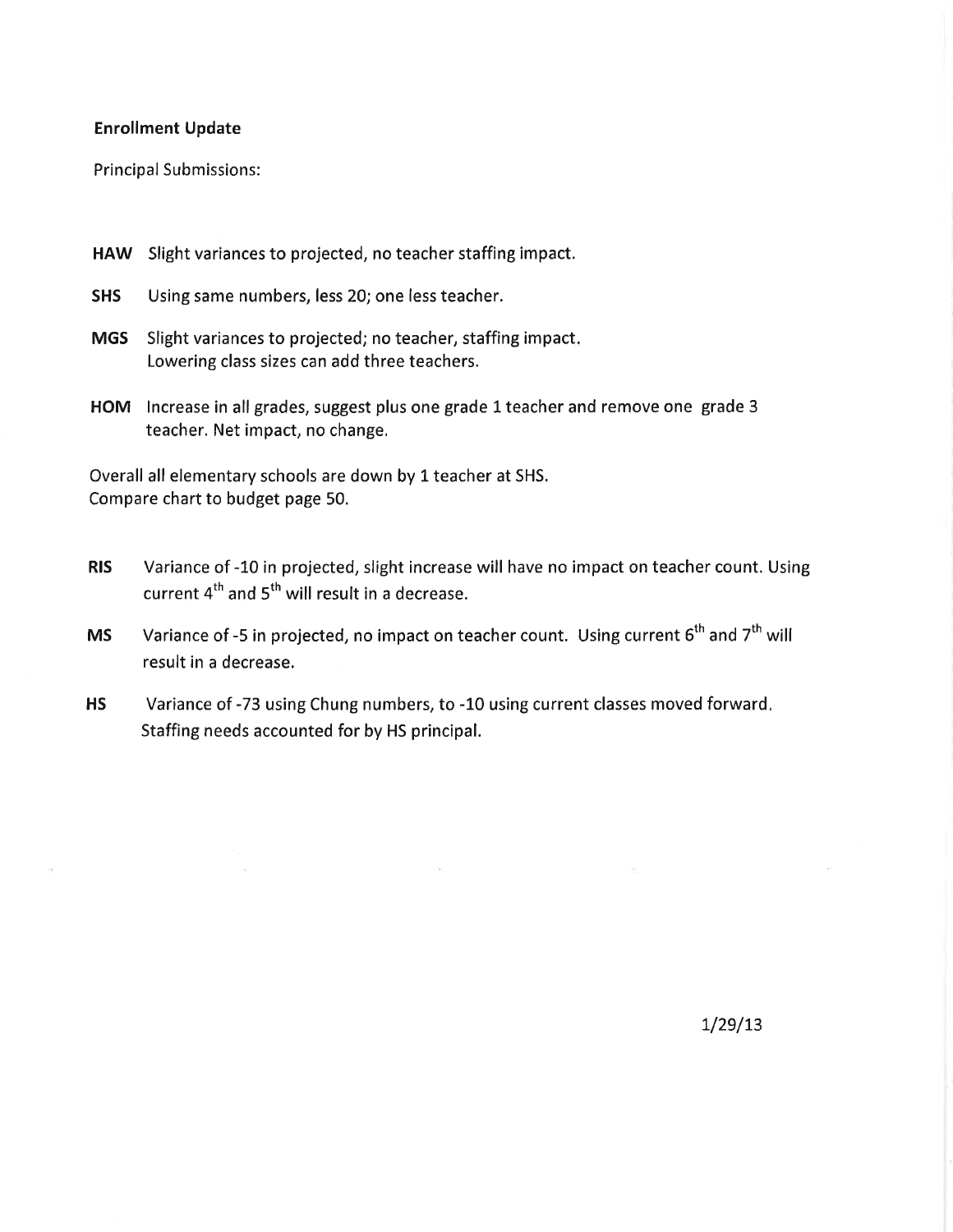#### **Enrollment Update**

 $\bar{m}$ 

**Principal Submissions:** 

- HAW Slight variances to projected, no teacher staffing impact.
- Using same numbers, less 20; one less teacher. **SHS**
- **MGS** Slight variances to projected; no teacher, staffing impact. Lowering class sizes can add three teachers.
- HOM Increase in all grades, suggest plus one grade 1 teacher and remove one grade 3 teacher. Net impact, no change.

Overall all elementary schools are down by 1 teacher at SHS. Compare chart to budget page 50.

- Variance of -10 in projected, slight increase will have no impact on teacher count. Using **RIS** current 4<sup>th</sup> and 5<sup>th</sup> will result in a decrease.
- Variance of -5 in projected, no impact on teacher count. Using current 6<sup>th</sup> and 7<sup>th</sup> will **MS** result in a decrease.
- **HS** Variance of -73 using Chung numbers, to -10 using current classes moved forward. Staffing needs accounted for by HS principal.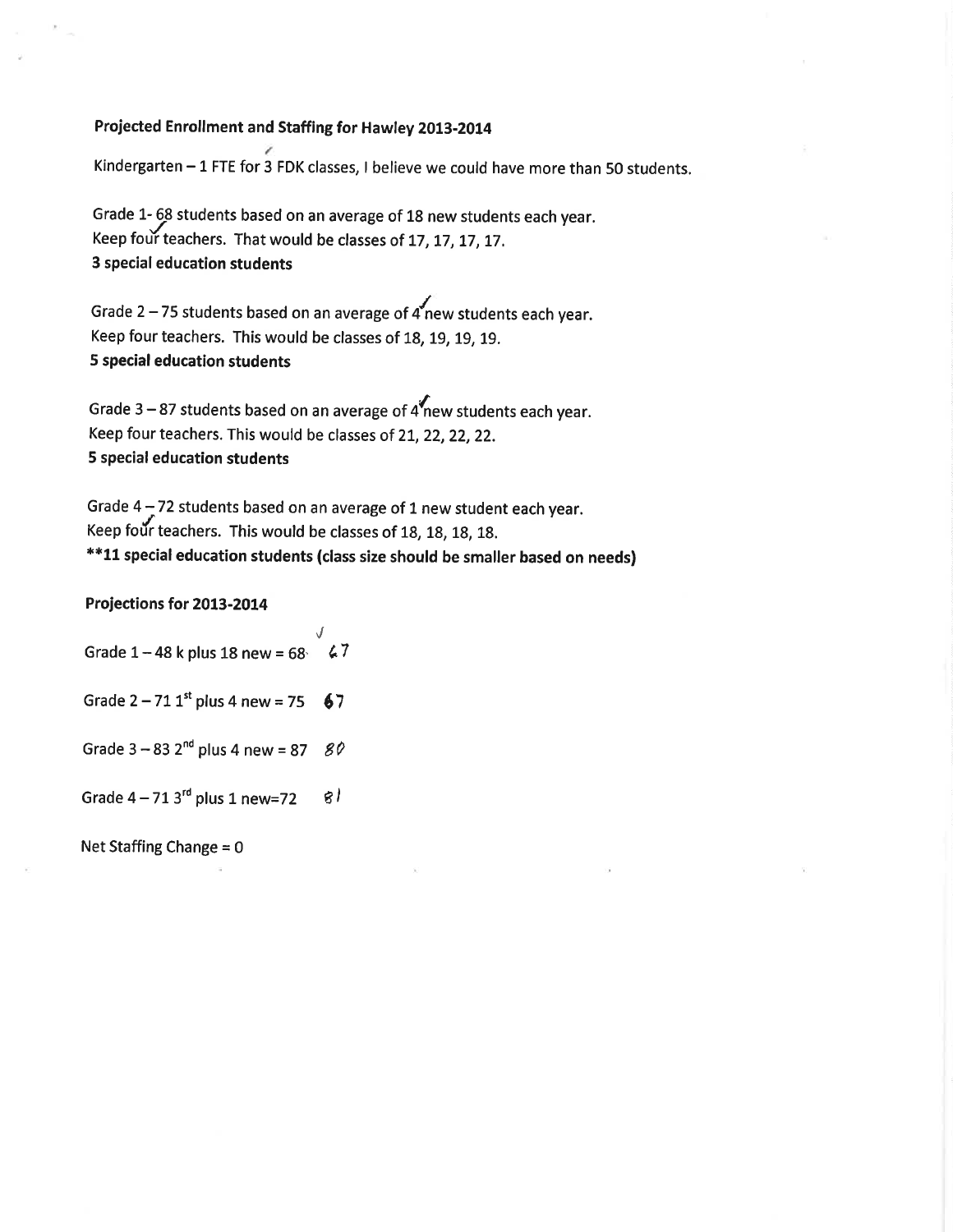#### Projected Enrollment and Staffing for Hawley 2013-2014

Kindergarten - 1 FTE for 3 FDK classes, I believe we could have more than 50 students.

Grade 1- 68 students based on an average of 18 new students each year. Keep four teachers. That would be classes of 17, 17, 17, 17. 3 special education students

Grade 2 – 75 students based on an average of  $4$  new students each year. Keep four teachers. This would be classes of 18, 19, 19, 19. **5 special education students** 

Grade  $3-87$  students based on an average of  $4\sqrt{\ }$ new students each year. Keep four teachers. This would be classes of 21, 22, 22, 22. **5 special education students** 

Grade 4 - 72 students based on an average of 1 new student each year. Keep four teachers. This would be classes of 18, 18, 18, 18. \*\*11 special education students (class size should be smaller based on needs)

Projections for 2013-2014

Grade  $1 - 48$  k plus 18 new = 68  $\sqrt{7}$ 

Grade  $2 - 71$  1<sup>st</sup> plus 4 new = 75 67

Grade  $3 - 83$  2<sup>nd</sup> plus 4 new = 87 80

Grade  $4-713$ <sup>rd</sup> plus 1 new=72  $g/$ 

Net Staffing Change =  $0$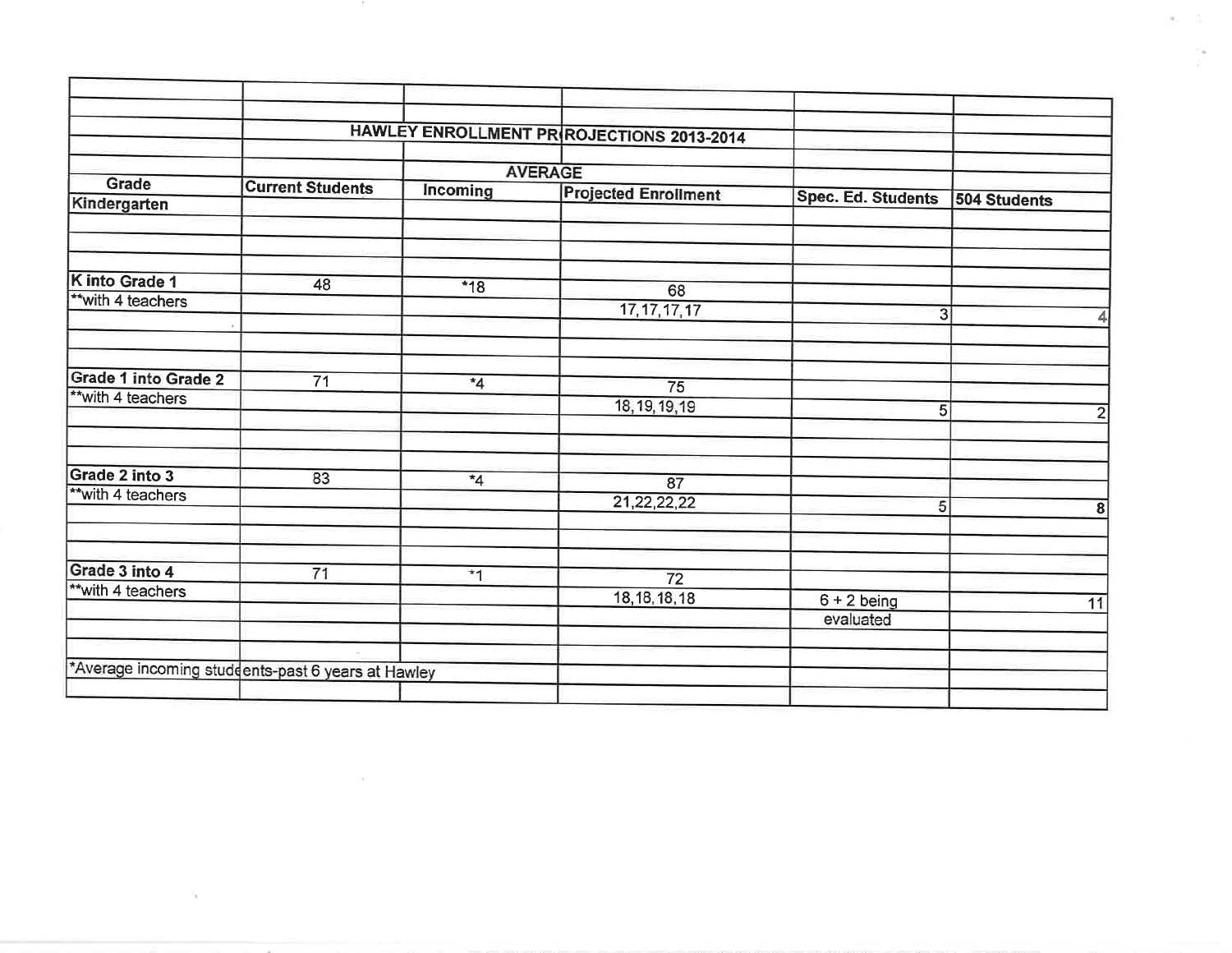|                      |                                                   |                | HAWLEY ENROLLMENT PR ROJECTIONS 2013-2014 |                           |              |
|----------------------|---------------------------------------------------|----------------|-------------------------------------------|---------------------------|--------------|
| <b>Grade</b>         |                                                   |                | <b>AVERAGE</b>                            |                           |              |
|                      | <b>Current Students</b>                           | Incoming       | <b>Projected Enrollment</b>               | <b>Spec. Ed. Students</b> | 504 Students |
| Kindergarten         |                                                   |                |                                           |                           |              |
|                      |                                                   |                |                                           |                           |              |
|                      |                                                   |                |                                           |                           |              |
| K into Grade 1       | 48                                                | $*18$          | 68                                        |                           |              |
| ** with 4 teachers   |                                                   |                | 17, 17, 17, 17                            |                           |              |
|                      |                                                   |                |                                           | $\overline{3}$            |              |
|                      |                                                   |                |                                           |                           |              |
| Grade 1 into Grade 2 | $\overline{71}$                                   | $*_{4}$        |                                           |                           |              |
| ** with 4 teachers   |                                                   |                | $\overline{75}$                           |                           |              |
|                      |                                                   |                | 18, 19, 19, 19                            | 5                         |              |
|                      |                                                   |                |                                           |                           |              |
| Grade 2 into 3       | 83                                                | $\overline{4}$ | 87                                        |                           |              |
| ** with 4 teachers   |                                                   |                | 21, 22, 22, 22                            | 5                         |              |
|                      |                                                   |                |                                           |                           |              |
|                      |                                                   |                |                                           |                           |              |
| Grade 3 into 4       | 71                                                | $\overline{1}$ | $\overline{72}$                           |                           |              |
| ** with 4 teachers   |                                                   |                | 18, 18, 18, 18                            | $6 + 2$ being             |              |
|                      |                                                   |                |                                           | evaluated                 |              |
|                      |                                                   |                |                                           |                           |              |
|                      | *Average incoming students-past 6 years at Hawley |                |                                           |                           |              |

187

 $\sim$  10

÷.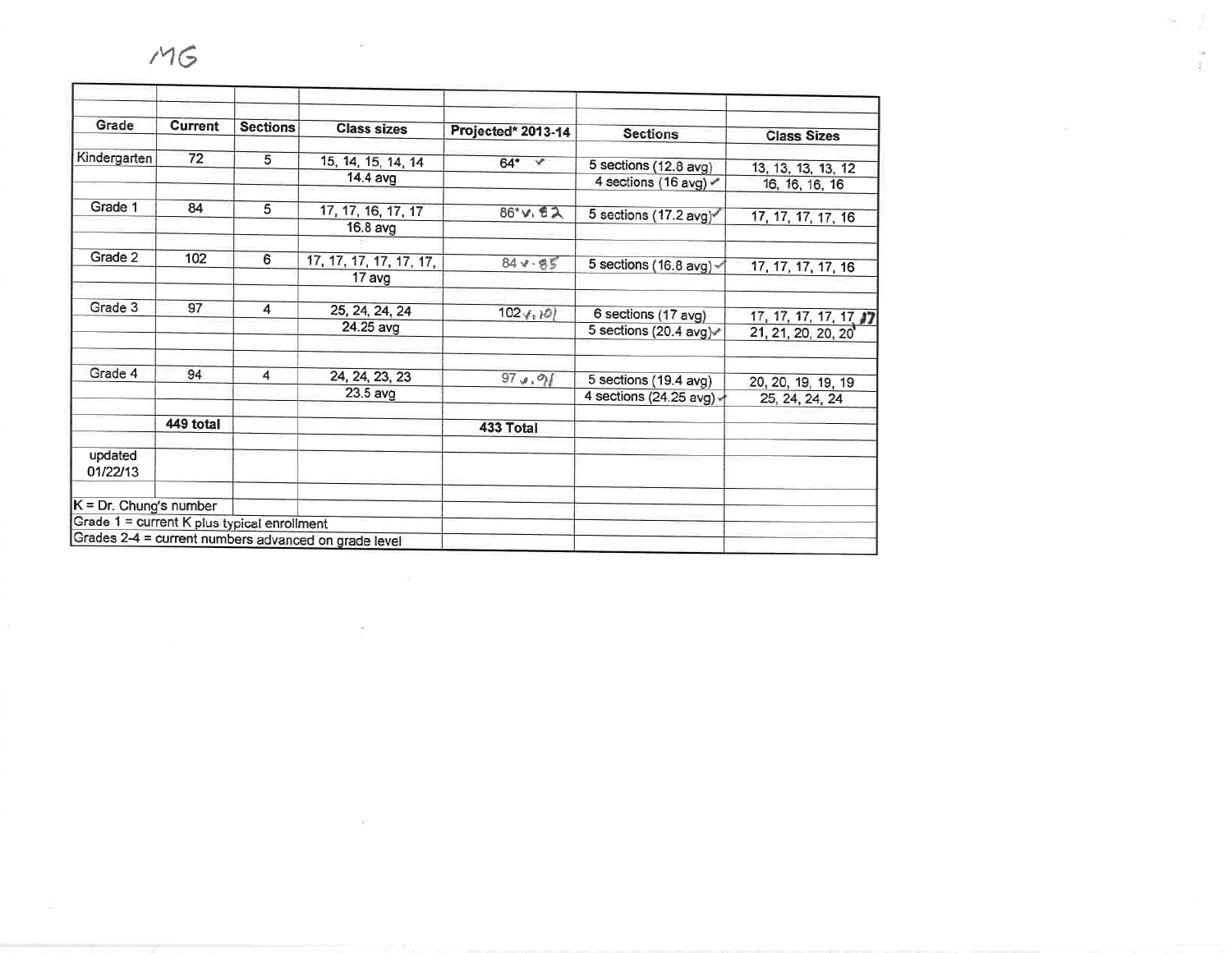| Grade                                       | <b>Current</b> | <b>Sections</b> | <b>Class sizes</b>                                   | Projected* 2013-14 | <b>Sections</b>                                   | <b>Class Sizes</b>                           |
|---------------------------------------------|----------------|-----------------|------------------------------------------------------|--------------------|---------------------------------------------------|----------------------------------------------|
|                                             |                |                 |                                                      |                    |                                                   |                                              |
| Kindergarten                                | 72             | 5               | 15, 14, 15, 14, 14                                   | $64*$ $*$          | 5 sections (12.8 avg)                             | 13, 13, 13, 13, 12                           |
|                                             |                |                 | 14.4 avg                                             |                    | 4 sections (16 avg)                               | 16, 16, 16, 16                               |
| Grade 1                                     | 84             | 5               | 17, 17, 16, 17, 17                                   | $86*$ v. 82        | 5 sections (17.2 avg)                             | 17, 17, 17, 17, 16                           |
|                                             |                |                 | 16.8 avg                                             |                    |                                                   |                                              |
| Grade 2                                     | 102            | 6               | 17, 17, 17, 17, 17, 17,                              | $84 - 85$          | 5 sections (16.8 avg) $\sim$                      | 17, 17, 17, 17, 16                           |
|                                             |                |                 | 17 avg                                               |                    |                                                   |                                              |
| Grade 3                                     | 97             | $\overline{4}$  | 25, 24, 24, 24                                       | $102 \times 10$    | 6 sections (17 avg)                               |                                              |
|                                             |                |                 | 24.25 avg                                            |                    | 5 sections (20.4 avg)                             | 17, 17, 17, 17, 17, 17<br>21, 21, 20, 20, 20 |
| Grade 4                                     | 94             | 4               | 24, 24, 23, 23                                       |                    |                                                   |                                              |
|                                             |                |                 | 23.5 avg                                             | 97.000             | 5 sections (19.4 avg)<br>4 sections (24.25 avg) - | 20, 20, 19, 19, 19<br>25, 24, 24, 24         |
|                                             | 449 total      |                 |                                                      | 433 Total          |                                                   |                                              |
| updated<br>01/22/13                         |                |                 |                                                      |                    |                                                   |                                              |
| $K = Dr$ . Chung's number                   |                |                 |                                                      |                    |                                                   |                                              |
| Grade 1 = current K plus typical enrollment |                |                 |                                                      |                    |                                                   |                                              |
|                                             |                |                 | Grades 2-4 = current numbers advanced on grade level |                    |                                                   |                                              |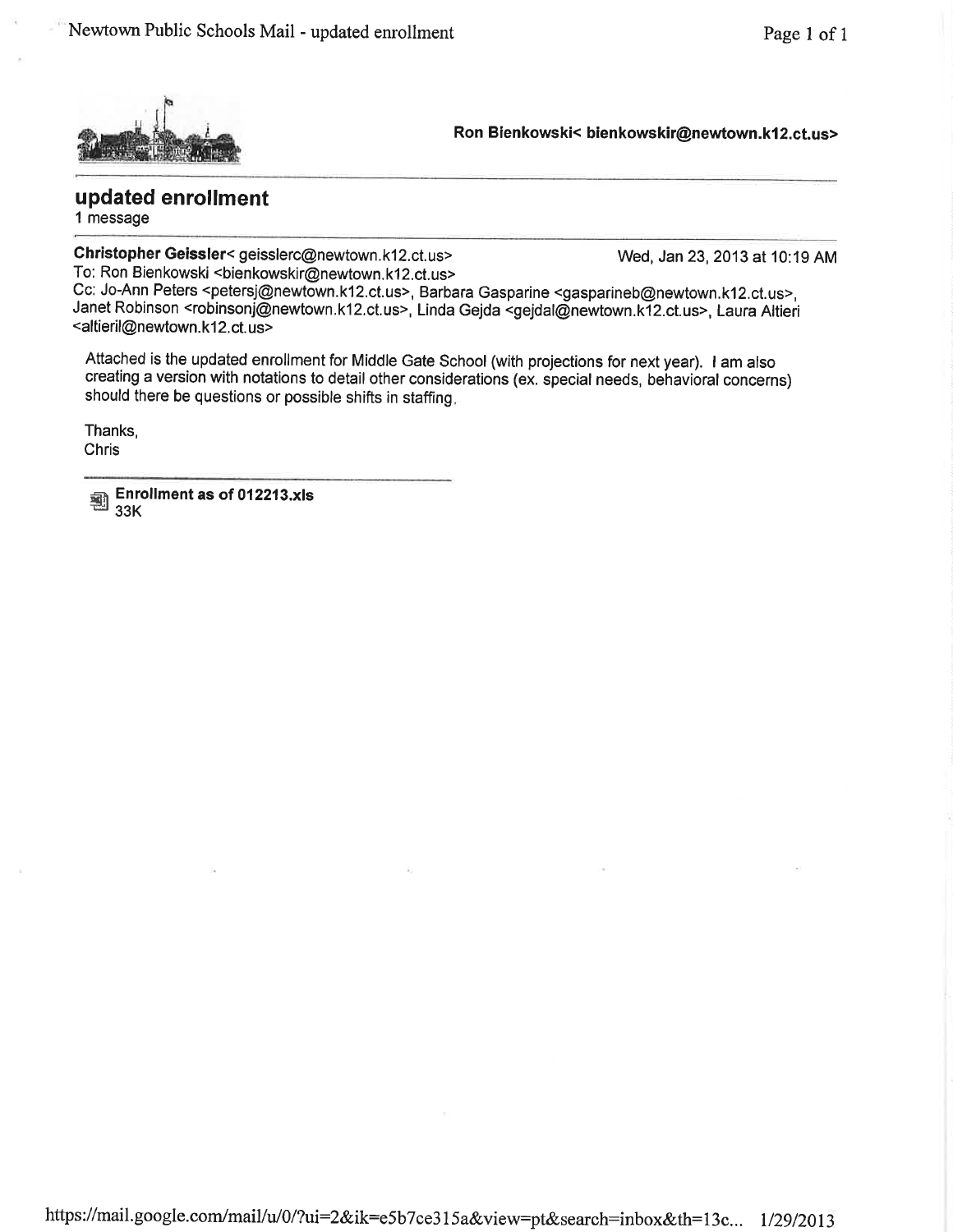

Ron Bienkowski< bienkowskir@newtown.k12.ct.us>

updated enrollment 1 message

Christopher Geissler< geisslerc@newtown.k12.ct.us> To: Ron Bienkowski <bienkowskir@newtown.k12.ct.us>

Wed, Jan 23, 2013 at 10:19 AM

Cc: Jo-Ann Peters <petersj@newtown.k12.ct.us>, Barbara Gasparine <gasparineb@newtown.k12.ct.us>, Janet Robinson <robinsonj@newtown.k12.ct.us>, Linda Gejda <gejdal@newtown.k12.ct.us>, Laura Altieri <altieril@newtown.k12.ct.us>

Attached is the updated enrollment for Middle Gate School (with projections for next year). I am also creating a version with notations to detail other considerations (ex. special needs, behavioral concerns) should there be questions or possible shifts in staffing.

Thanks. Chris

Enrollment as of 012213.xls 鄠  $33K$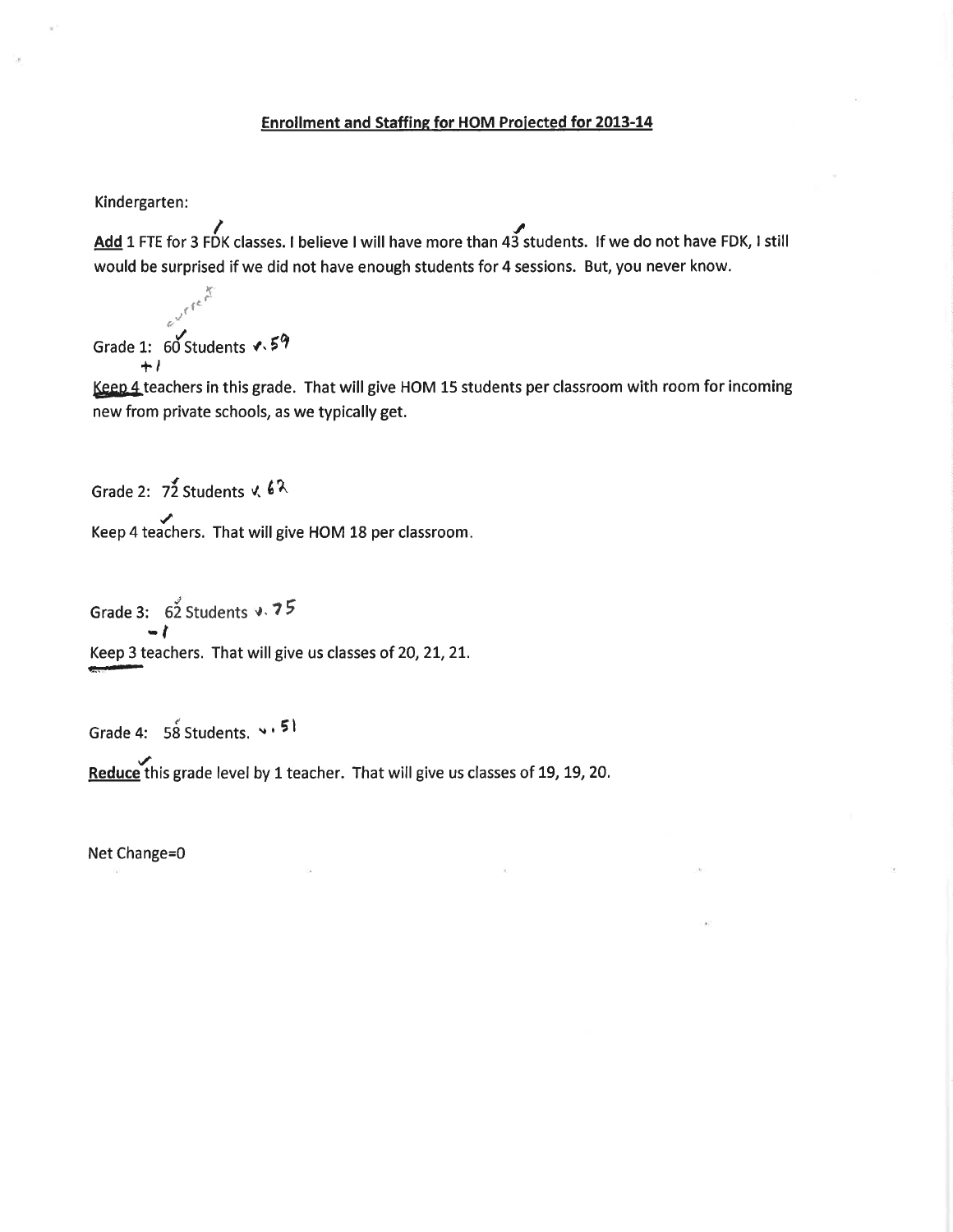#### Enrollment and Staffing for HOM Projected for 2013-14

Kindergarten:

Add 1 FTE for 3 FDK classes. I believe I will have more than 43 students. If we do not have FDK, I still would be surprised if we did not have enough students for 4 sessions. But, you never know.

evrient Grade 1:  $60$  Students  $\sqrt{.59}$  $+1$ 

Keep 4 teachers in this grade. That will give HOM 15 students per classroom with room for incoming new from private schools, as we typically get.

Grade 2:  $7\overline{2}$  Students v.  $6\overline{2}$ Keep 4 teachers. That will give HOM 18 per classroom.

Grade 3: 62 Students v. 75 Keep 3 teachers. That will give us classes of 20, 21, 21.

Grade 4: 58 Students. v. 51

Reduce this grade level by 1 teacher. That will give us classes of 19, 19, 20.

Net Change=0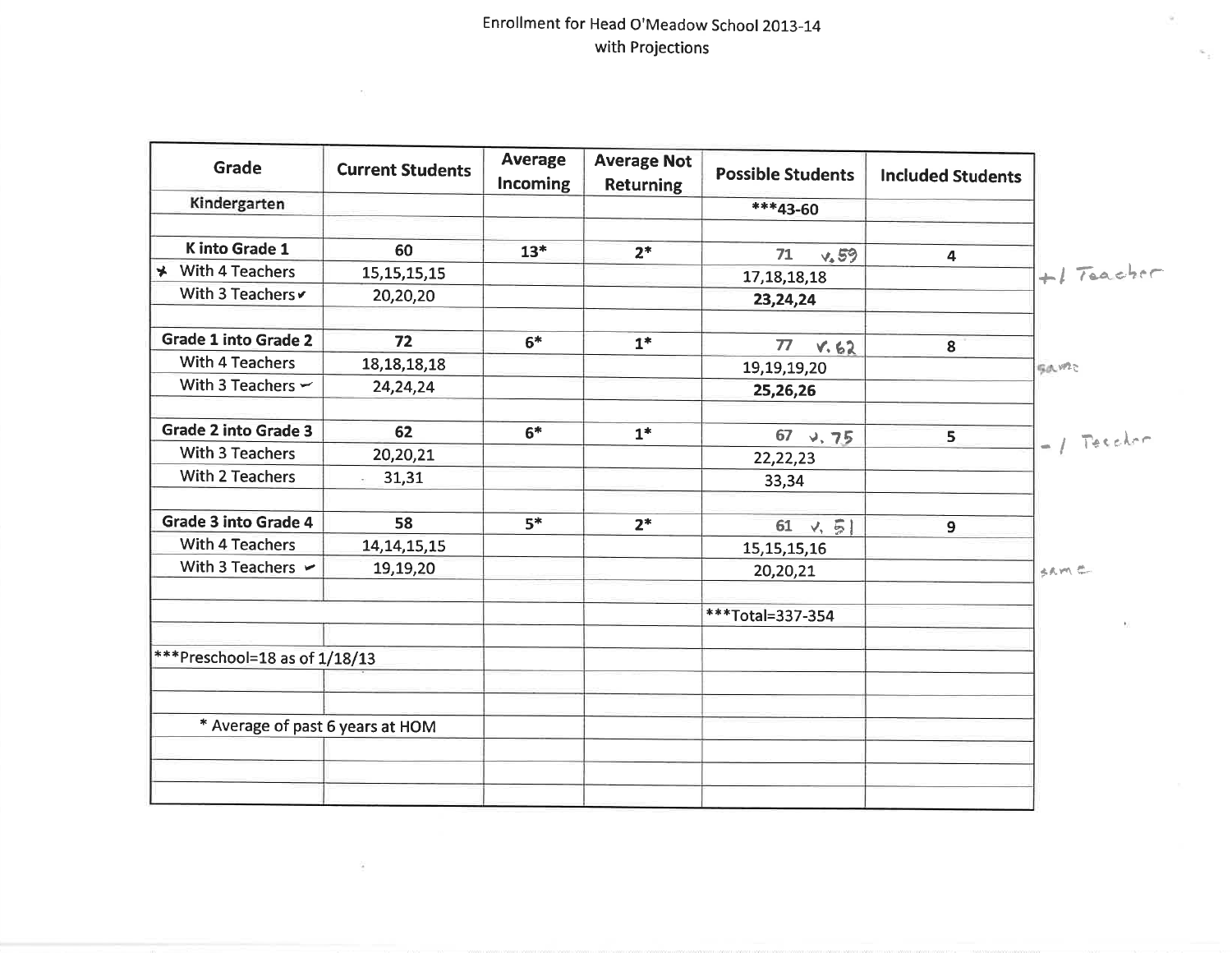$\sim$ 

ä

ü

 $\sim$ 

| <b>Grade</b>                          | <b>Current Students</b>    | <b>Average</b><br><b>Incoming</b> | <b>Average Not</b><br><b>Returning</b> | <b>Possible Students</b>     | <b>Included Students</b> |              |
|---------------------------------------|----------------------------|-----------------------------------|----------------------------------------|------------------------------|--------------------------|--------------|
| Kindergarten                          |                            |                                   |                                        | $***43-60$                   |                          |              |
| K into Grade 1                        | 60                         | $13*$                             |                                        |                              |                          |              |
| → With 4 Teachers                     |                            |                                   | $2*$                                   | 71<br>$\sqrt{.59}$           | 4                        | $H$ Teacher  |
| With 3 Teachers                       | 15, 15, 15, 15<br>20,20,20 |                                   |                                        | 17, 18, 18, 18<br>23, 24, 24 |                          |              |
|                                       |                            |                                   |                                        |                              |                          |              |
| <b>Grade 1 into Grade 2</b>           | 72                         | $6*$                              | $1*$                                   | 77<br>V.62                   | 8                        |              |
| <b>With 4 Teachers</b>                | 18, 18, 18, 18             |                                   |                                        | 19,19,19,20                  |                          | gaw2c        |
| With 3 Teachers $\sim$                | 24,24,24                   |                                   |                                        | 25,26,26                     |                          |              |
| <b>Grade 2 into Grade 3</b>           | 62                         | $6*$                              | $1*$                                   | $67$ $\sqrt{75}$             | 5                        | $-1$ Teacher |
| <b>With 3 Teachers</b>                | 20,20,21                   |                                   |                                        | 22, 22, 23                   |                          |              |
| With 2 Teachers                       | 31,31                      |                                   |                                        | 33,34                        |                          |              |
| <b>Grade 3 into Grade 4</b>           | 58                         | $5*$                              | $2*$                                   | 61 $\sqrt{5}$                | $\overline{9}$           |              |
| <b>With 4 Teachers</b>                | 14, 14, 15, 15             |                                   |                                        | 15, 15, 15, 16               |                          |              |
| With 3 Teachers $\blacktriangleright$ | 19,19,20                   |                                   |                                        | 20,20,21                     |                          | SAME-        |
|                                       |                            |                                   |                                        | ***Total=337-354             |                          |              |
| ***Preschool=18 as of 1/18/13         |                            |                                   |                                        |                              |                          |              |
|                                       |                            |                                   |                                        |                              |                          |              |
| * Average of past 6 years at HOM      |                            |                                   |                                        |                              |                          |              |
|                                       |                            |                                   |                                        |                              |                          |              |
|                                       |                            |                                   |                                        |                              |                          |              |